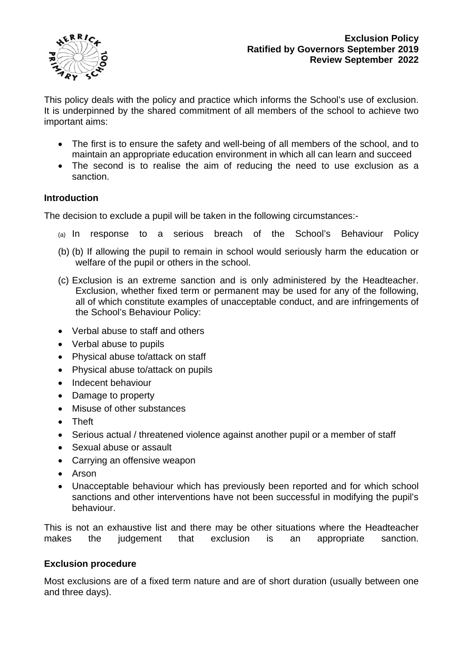

This policy deals with the policy and practice which informs the School's use of exclusion. It is underpinned by the shared commitment of all members of the school to achieve two important aims:

- The first is to ensure the safety and well-being of all members of the school, and to maintain an appropriate education environment in which all can learn and succeed
- The second is to realise the aim of reducing the need to use exclusion as a sanction.

## **Introduction**

The decision to exclude a pupil will be taken in the following circumstances:-

- (a) In response to a serious breach of the School's Behaviour Policy
- (b) (b) If allowing the pupil to remain in school would seriously harm the education or welfare of the pupil or others in the school.
- (c) Exclusion is an extreme sanction and is only administered by the Headteacher. Exclusion, whether fixed term or permanent may be used for any of the following, all of which constitute examples of unacceptable conduct, and are infringements of the School's Behaviour Policy:
- Verbal abuse to staff and others
- Verbal abuse to pupils
- Physical abuse to/attack on staff
- Physical abuse to/attack on pupils
- Indecent behaviour
- Damage to property
- Misuse of other substances
- Theft
- Serious actual / threatened violence against another pupil or a member of staff
- Sexual abuse or assault
- Carrying an offensive weapon
- Arson
- Unacceptable behaviour which has previously been reported and for which school sanctions and other interventions have not been successful in modifying the pupil's behaviour.

This is not an exhaustive list and there may be other situations where the Headteacher makes the judgement that exclusion is an appropriate sanction.

## **Exclusion procedure**

Most exclusions are of a fixed term nature and are of short duration (usually between one and three days).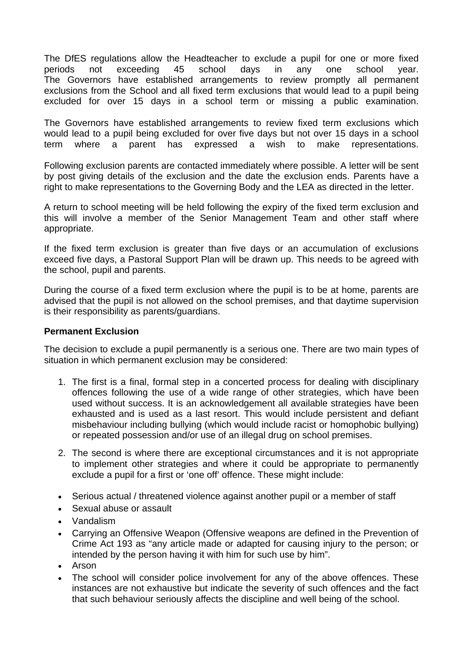The DfES regulations allow the Headteacher to exclude a pupil for one or more fixed periods not exceeding 45 school days in any one school year. The Governors have established arrangements to review promptly all permanent exclusions from the School and all fixed term exclusions that would lead to a pupil being excluded for over 15 days in a school term or missing a public examination.

The Governors have established arrangements to review fixed term exclusions which would lead to a pupil being excluded for over five days but not over 15 days in a school term where a parent has expressed a wish to make representations.

Following exclusion parents are contacted immediately where possible. A letter will be sent by post giving details of the exclusion and the date the exclusion ends. Parents have a right to make representations to the Governing Body and the LEA as directed in the letter.

A return to school meeting will be held following the expiry of the fixed term exclusion and this will involve a member of the Senior Management Team and other staff where appropriate.

If the fixed term exclusion is greater than five days or an accumulation of exclusions exceed five days, a Pastoral Support Plan will be drawn up. This needs to be agreed with the school, pupil and parents.

During the course of a fixed term exclusion where the pupil is to be at home, parents are advised that the pupil is not allowed on the school premises, and that daytime supervision is their responsibility as parents/guardians.

## **Permanent Exclusion**

The decision to exclude a pupil permanently is a serious one. There are two main types of situation in which permanent exclusion may be considered:

- 1. The first is a final, formal step in a concerted process for dealing with disciplinary offences following the use of a wide range of other strategies, which have been used without success. It is an acknowledgement all available strategies have been exhausted and is used as a last resort. This would include persistent and defiant misbehaviour including bullying (which would include racist or homophobic bullying) or repeated possession and/or use of an illegal drug on school premises.
- 2. The second is where there are exceptional circumstances and it is not appropriate to implement other strategies and where it could be appropriate to permanently exclude a pupil for a first or 'one off' offence. These might include:
- Serious actual / threatened violence against another pupil or a member of staff
- Sexual abuse or assault
- Vandalism
- Carrying an Offensive Weapon (Offensive weapons are defined in the Prevention of Crime Act 193 as "any article made or adapted for causing injury to the person; or intended by the person having it with him for such use by him".
- Arson
- The school will consider police involvement for any of the above offences. These instances are not exhaustive but indicate the severity of such offences and the fact that such behaviour seriously affects the discipline and well being of the school.